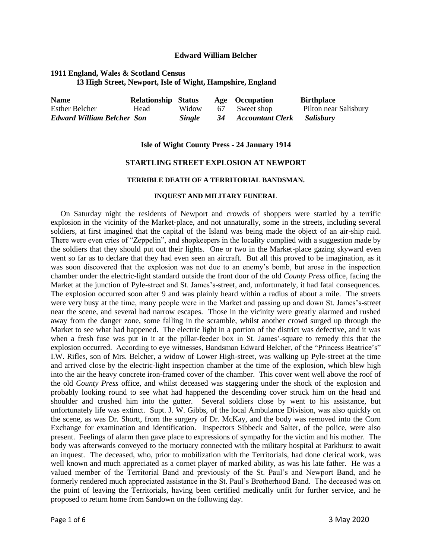#### **Edward William Belcher**

# **1911 England, Wales & Scotland Census 13 High Street, Newport, Isle of Wight, Hampshire, England**

| <b>Name</b>                       | <b>Relationship Status</b> |               | Age Occupation      | <b>Birthplace</b>     |
|-----------------------------------|----------------------------|---------------|---------------------|-----------------------|
| <b>Esther Belcher</b>             | Head                       | Widow         | 67 Sweet shop       | Pilton near Salisbury |
| <b>Edward William Belcher Son</b> |                            | <i>Single</i> | 34 Accountant Clerk | <b>Salisbury</b>      |

#### **Isle of Wight County Press - 24 January 1914**

## **STARTLING STREET EXPLOSION AT NEWPORT**

#### **TERRIBLE DEATH OF A TERRITORIAL BANDSMAN.**

## **INQUEST AND MILITARY FUNERAL**

On Saturday night the residents of Newport and crowds of shoppers were startled by a terrific explosion in the vicinity of the Market-place, and not unnaturally, some in the streets, including several soldiers, at first imagined that the capital of the Island was being made the object of an air-ship raid. There were even cries of "Zeppelin", and shopkeepers in the locality complied with a suggestion made by the soldiers that they should put out their lights. One or two in the Market-place gazing skyward even went so far as to declare that they had even seen an aircraft. But all this proved to be imagination, as it was soon discovered that the explosion was not due to an enemy's bomb, but arose in the inspection chamber under the electric-light standard outside the front door of the old *County Press* office, facing the Market at the junction of Pyle-street and St. James's-street, and, unfortunately, it had fatal consequences. The explosion occurred soon after 9 and was plainly heard within a radius of about a mile. The streets were very busy at the time, many people were in the Market and passing up and down St. James's-street near the scene, and several had narrow escapes. Those in the vicinity were greatly alarmed and rushed away from the danger zone, some falling in the scramble, whilst another crowd surged up through the Market to see what had happened. The electric light in a portion of the district was defective, and it was when a fresh fuse was put in it at the pillar-feeder box in St. James'-square to remedy this that the explosion occurred. According to eye witnesses, Bandsman Edward Belcher, of the "Princess Beatrice's" I.W. Rifles, son of Mrs. Belcher, a widow of Lower High-street, was walking up Pyle-street at the time and arrived close by the electric-light inspection chamber at the time of the explosion, which blew high into the air the heavy concrete iron-framed cover of the chamber. This cover went well above the roof of the old *County Press* office, and whilst deceased was staggering under the shock of the explosion and probably looking round to see what had happened the descending cover struck him on the head and shoulder and crushed him into the gutter. Several soldiers close by went to his assistance, but unfortunately life was extinct. Supt. J. W. Gibbs, of the local Ambulance Division, was also quickly on the scene, as was Dr. Shortt, from the surgery of Dr. McKay, and the body was removed into the Corn Exchange for examination and identification. Inspectors Sibbeck and Salter, of the police, were also present. Feelings of alarm then gave place to expressions of sympathy for the victim and his mother. The body was afterwards conveyed to the mortuary connected with the military hospital at Parkhurst to await an inquest. The deceased, who, prior to mobilization with the Territorials, had done clerical work, was well known and much appreciated as a cornet player of marked ability, as was his late father. He was a valued member of the Territorial Band and previously of the St. Paul's and Newport Band, and he formerly rendered much appreciated assistance in the St. Paul's Brotherhood Band. The deceased was on the point of leaving the Territorials, having been certified medically unfit for further service, and he proposed to return home from Sandown on the following day.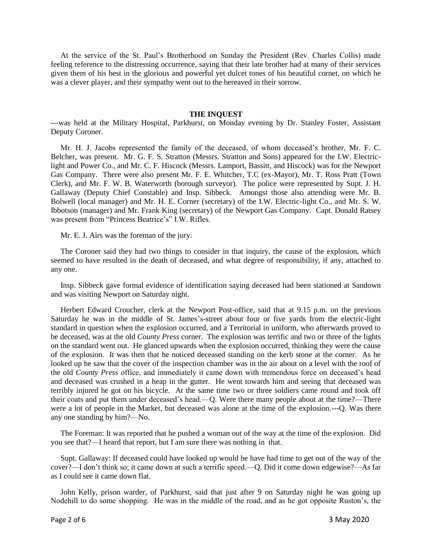At the service of the St. Paul's Brotherhood on Sunday the President (Rev. Charles Collis) made feeling reference to the distressing occurrence, saying that their late brother had at many of their services given them of his best in the glorious and powerful yet dulcet tones of his beautiful cornet, on which he was a clever player, and their sympathy went out to the bereaved in their sorrow.

#### **THE INQUEST**

---was held at the Military Hospital, Parkhurst, on Monday evening by Dr. Stanley Foster, Assistant Deputy Coroner.

 Mr. H. J. Jacobs represented the family of the deceased, of whom deceased's brother, Mr. F. C. Belcher, was present. Mr. G. F. S. Stratton (Messrs. Stratton and Sons) appeared for the I.W. Electriclight and Power Co., and Mr. C. F. Hiscock (Messrs. Lamport, Bassitt, and Hiscock) was for the Newport Gas Company. There were also present Mr. F. E. Whitcher, T.C (ex-Mayor), Mr. T. Ross Pratt (Town Clerk), and Mr. F. W. B. Waterworth (borough surveyor). The police were represented by Supt. J. H. Gallaway (Deputy Chief Constable) and Insp. Sibbeck. Amongst those also attending were Mr. B. Bolwell (local manager) and Mr. H. E. Corner (secretary) of the I.W. Electric-light Co., and Mr. S. W. Ibbotson (manager) and Mr. Frank King (secretary) of the Newport Gas Company. Capt. Donald Ratsey was present from "Princess Beatrice's" I.W. Rifles.

Mr. E. J. Airs was the foreman of the jury.

 The Coroner said they had two things to consider in that inquiry, the cause of the explosion, which seemed to have resulted in the death of deceased, and what degree of responsibility, if any, attached to any one.

 Insp. Sibbeck gave formal evidence of identification saying deceased had been stationed at Sandown and was visiting Newport on Saturday night.

 Herbert Edward Croucher, clerk at the Newport Post-office, said that at 9.15 p.m. on the previous Saturday he was in the middle of St. James's-street about four or five yards from the electric-light standard in question when the explosion occurred, and a Territorial in uniform, who afterwards proved to be deceased, was at the old *County Press* corner. The explosion was terrific and two or three of the lights on the standard went out. He glanced upwards when the explosion occurred, thinking they were the cause of the explosion. It was then that he noticed deceased standing on the kerb stone at the corner. As he looked up he saw that the cover of the inspection chamber was in the air about on a level with the roof of the old *County Press* office, and immediately it came down with tremendous force on deceased's head and deceased was crushed in a heap in the gutter. He went towards him and seeing that deceased was terribly injured he got on his bicycle. At the same time two or three soldiers came round and took off their coats and put them under deceased's head.—Q. Were there many people about at the time?—There were a lot of people in the Market, but deceased was alone at the time of the explosion.---Q. Was there any one standing by him?—No.

 The Foreman: It was reported that he pushed a woman out of the way at the time of the explosion. Did you see that?—I heard that report, but I am sure there was nothing in that.

 Supt. Gallaway: If deceased could have looked up would he have had time to get out of the way of the cover?—I don't think so; it came down at such a terrific speed.—Q. Did it come down edgewise?—As far as I could see it came down flat.

 John Kelly, prison warder, of Parkhurst, said that just after 9 on Saturday night he was going up Nodehill to do some shopping. He was in the middle of the road, and as he got opposite Ruston's, the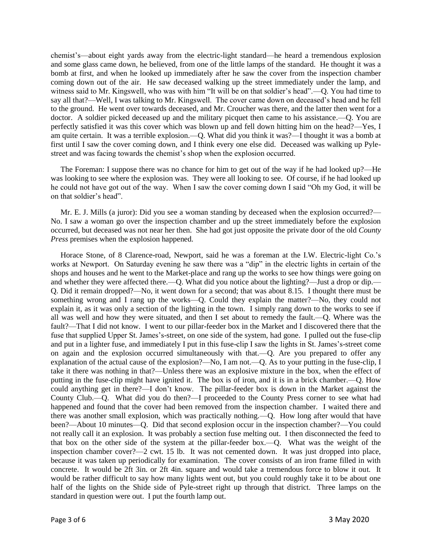chemist's—about eight yards away from the electric-light standard—he heard a tremendous explosion and some glass came down, he believed, from one of the little lamps of the standard. He thought it was a bomb at first, and when he looked up immediately after he saw the cover from the inspection chamber coming down out of the air. He saw deceased walking up the street immediately under the lamp, and witness said to Mr. Kingswell, who was with him "It will be on that soldier's head".—Q. You had time to say all that?—Well, I was talking to Mr. Kingswell. The cover came down on deceased's head and he fell to the ground. He went over towards deceased, and Mr. Croucher was there, and the latter then went for a doctor. A soldier picked deceased up and the military picquet then came to his assistance.—Q. You are perfectly satisfied it was this cover which was blown up and fell down hitting him on the head?—Yes, I am quite certain. It was a terrible explosion.—Q. What did you think it was?—I thought it was a bomb at first until I saw the cover coming down, and I think every one else did. Deceased was walking up Pylestreet and was facing towards the chemist's shop when the explosion occurred.

 The Foreman: I suppose there was no chance for him to get out of the way if he had looked up?—He was looking to see where the explosion was. They were all looking to see. Of course, if he had looked up he could not have got out of the way. When I saw the cover coming down I said "Oh my God, it will be on that soldier's head".

 Mr. E. J. Mills (a juror): Did you see a woman standing by deceased when the explosion occurred?— No. I saw a woman go over the inspection chamber and up the street immediately before the explosion occurred, but deceased was not near her then. She had got just opposite the private door of the old *County Press* premises when the explosion happened.

 Horace Stone, of 8 Clarence-road, Newport, said he was a foreman at the I.W. Electric-light Co.'s works at Newport. On Saturday evening he saw there was a "dip" in the electric lights in certain of the shops and houses and he went to the Market-place and rang up the works to see how things were going on and whether they were affected there.—Q. What did you notice about the lighting?—Just a drop or dip.— Q. Did it remain dropped?—No, it went down for a second; that was about 8.15. I thought there must be something wrong and I rang up the works—Q. Could they explain the matter?—No, they could not explain it, as it was only a section of the lighting in the town. I simply rang down to the works to see if all was well and how they were situated, and then I set about to remedy the fault.—Q. Where was the fault?—That I did not know. I went to our pillar-feeder box in the Market and I discovered there that the fuse that supplied Upper St. James's-street, on one side of the system, had gone. I pulled out the fuse-clip and put in a lighter fuse, and immediately I put in this fuse-clip I saw the lights in St. James's-street come on again and the explosion occurred simultaneously with that.—Q. Are you prepared to offer any explanation of the actual cause of the explosion?—No, I am not.—Q. As to your putting in the fuse-clip, I take it there was nothing in that?—Unless there was an explosive mixture in the box, when the effect of putting in the fuse-clip might have ignited it. The box is of iron, and it is in a brick chamber.—Q. How could anything get in there?—I don't know. The pillar-feeder box is down in the Market against the County Club.—Q. What did you do then?—I proceeded to the County Press corner to see what had happened and found that the cover had been removed from the inspection chamber. I waited there and there was another small explosion, which was practically nothing.—Q. How long after would that have been?—About 10 minutes—Q. Did that second explosion occur in the inspection chamber?—You could not really call it an explosion. It was probably a section fuse melting out. I then disconnected the feed to that box on the other side of the system at the pillar-feeder box.—Q. What was the weight of the inspection chamber cover?—2 cwt. 15 lb. It was not cemented down. It was just dropped into place, because it was taken up periodically for examination. The cover consists of an iron frame filled in with concrete. It would be 2ft 3in. or 2ft 4in. square and would take a tremendous force to blow it out. It would be rather difficult to say how many lights went out, but you could roughly take it to be about one half of the lights on the Shide side of Pyle-street right up through that district. Three lamps on the standard in question were out. I put the fourth lamp out.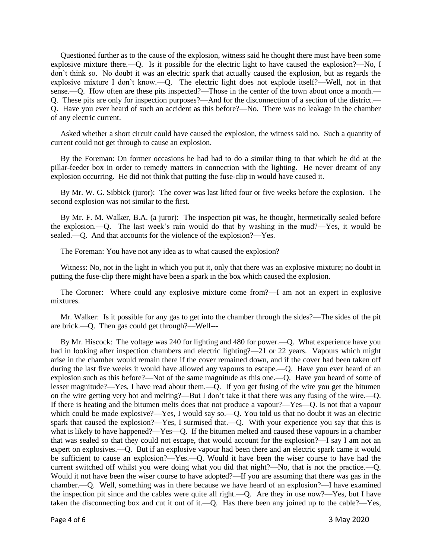Questioned further as to the cause of the explosion, witness said he thought there must have been some explosive mixture there.—Q. Is it possible for the electric light to have caused the explosion?—No, I don't think so. No doubt it was an electric spark that actually caused the explosion, but as regards the explosive mixture I don't know.—Q. The electric light does not explode itself?—Well, not in that sense.—Q. How often are these pits inspected?—Those in the center of the town about once a month.— Q. These pits are only for inspection purposes?—And for the disconnection of a section of the district.— Q. Have you ever heard of such an accident as this before?—No. There was no leakage in the chamber of any electric current.

 Asked whether a short circuit could have caused the explosion, the witness said no. Such a quantity of current could not get through to cause an explosion.

 By the Foreman: On former occasions he had had to do a similar thing to that which he did at the pillar-feeder box in order to remedy matters in connection with the lighting. He never dreamt of any explosion occurring. He did not think that putting the fuse-clip in would have caused it.

 By Mr. W. G. Sibbick (juror): The cover was last lifted four or five weeks before the explosion. The second explosion was not similar to the first.

 By Mr. F. M. Walker, B.A. (a juror): The inspection pit was, he thought, hermetically sealed before the explosion.—Q. The last week's rain would do that by washing in the mud?—Yes, it would be sealed.—Q. And that accounts for the violence of the explosion?—Yes.

The Foreman: You have not any idea as to what caused the explosion?

 Witness: No, not in the light in which you put it, only that there was an explosive mixture; no doubt in putting the fuse-clip there might have been a spark in the box which caused the explosion.

 The Coroner: Where could any explosive mixture come from?—I am not an expert in explosive mixtures.

 Mr. Walker: Is it possible for any gas to get into the chamber through the sides?—The sides of the pit are brick.—Q. Then gas could get through?—Well---

 By Mr. Hiscock: The voltage was 240 for lighting and 480 for power.—Q. What experience have you had in looking after inspection chambers and electric lighting?—21 or 22 years. Vapours which might arise in the chamber would remain there if the cover remained down, and if the cover had been taken off during the last five weeks it would have allowed any vapours to escape.—Q. Have you ever heard of an explosion such as this before?—Not of the same magnitude as this one.—Q. Have you heard of some of lesser magnitude?—Yes, I have read about them.—Q. If you get fusing of the wire you get the bitumen on the wire getting very hot and melting?—But I don't take it that there was any fusing of the wire.—Q. If there is heating and the bitumen melts does that not produce a vapour?—Yes—Q. Is not that a vapour which could be made explosive?—Yes, I would say so.—Q. You told us that no doubt it was an electric spark that caused the explosion?—Yes, I surmised that.—Q. With your experience you say that this is what is likely to have happened?—Yes—Q. If the bitumen melted and caused these vapours in a chamber that was sealed so that they could not escape, that would account for the explosion?—I say I am not an expert on explosives.—Q. But if an explosive vapour had been there and an electric spark came it would be sufficient to cause an explosion?—Yes.—Q. Would it have been the wiser course to have had the current switched off whilst you were doing what you did that night?—No, that is not the practice.—Q. Would it not have been the wiser course to have adopted?—If you are assuming that there was gas in the chamber.—Q. Well, something was in there because we have heard of an explosion?—I have examined the inspection pit since and the cables were quite all right.—Q. Are they in use now?—Yes, but I have taken the disconnecting box and cut it out of it.—Q. Has there been any joined up to the cable?—Yes,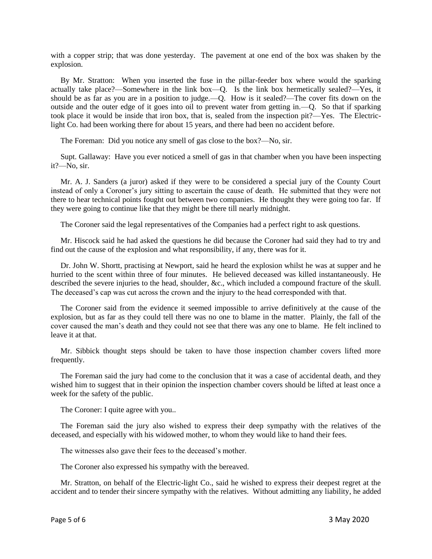with a copper strip; that was done yesterday. The pavement at one end of the box was shaken by the explosion.

 By Mr. Stratton: When you inserted the fuse in the pillar-feeder box where would the sparking actually take place?—Somewhere in the link box—Q. Is the link box hermetically sealed?—Yes, it should be as far as you are in a position to judge.—Q. How is it sealed?—The cover fits down on the outside and the outer edge of it goes into oil to prevent water from getting in.—Q. So that if sparking took place it would be inside that iron box, that is, sealed from the inspection pit?—Yes. The Electriclight Co. had been working there for about 15 years, and there had been no accident before.

The Foreman: Did you notice any smell of gas close to the box?—No, sir.

 Supt. Gallaway: Have you ever noticed a smell of gas in that chamber when you have been inspecting it?—No, sir.

 Mr. A. J. Sanders (a juror) asked if they were to be considered a special jury of the County Court instead of only a Coroner's jury sitting to ascertain the cause of death. He submitted that they were not there to hear technical points fought out between two companies. He thought they were going too far. If they were going to continue like that they might be there till nearly midnight.

The Coroner said the legal representatives of the Companies had a perfect right to ask questions.

 Mr. Hiscock said he had asked the questions he did because the Coroner had said they had to try and find out the cause of the explosion and what responsibility, if any, there was for it.

 Dr. John W. Shortt, practising at Newport, said he heard the explosion whilst he was at supper and he hurried to the scent within three of four minutes. He believed deceased was killed instantaneously. He described the severe injuries to the head, shoulder, &c., which included a compound fracture of the skull. The deceased's cap was cut across the crown and the injury to the head corresponded with that.

 The Coroner said from the evidence it seemed impossible to arrive definitively at the cause of the explosion, but as far as they could tell there was no one to blame in the matter. Plainly, the fall of the cover caused the man's death and they could not see that there was any one to blame. He felt inclined to leave it at that.

 Mr. Sibbick thought steps should be taken to have those inspection chamber covers lifted more frequently.

 The Foreman said the jury had come to the conclusion that it was a case of accidental death, and they wished him to suggest that in their opinion the inspection chamber covers should be lifted at least once a week for the safety of the public.

The Coroner: I quite agree with you..

 The Foreman said the jury also wished to express their deep sympathy with the relatives of the deceased, and especially with his widowed mother, to whom they would like to hand their fees.

The witnesses also gave their fees to the deceased's mother.

The Coroner also expressed his sympathy with the bereaved.

 Mr. Stratton, on behalf of the Electric-light Co., said he wished to express their deepest regret at the accident and to tender their sincere sympathy with the relatives. Without admitting any liability, he added